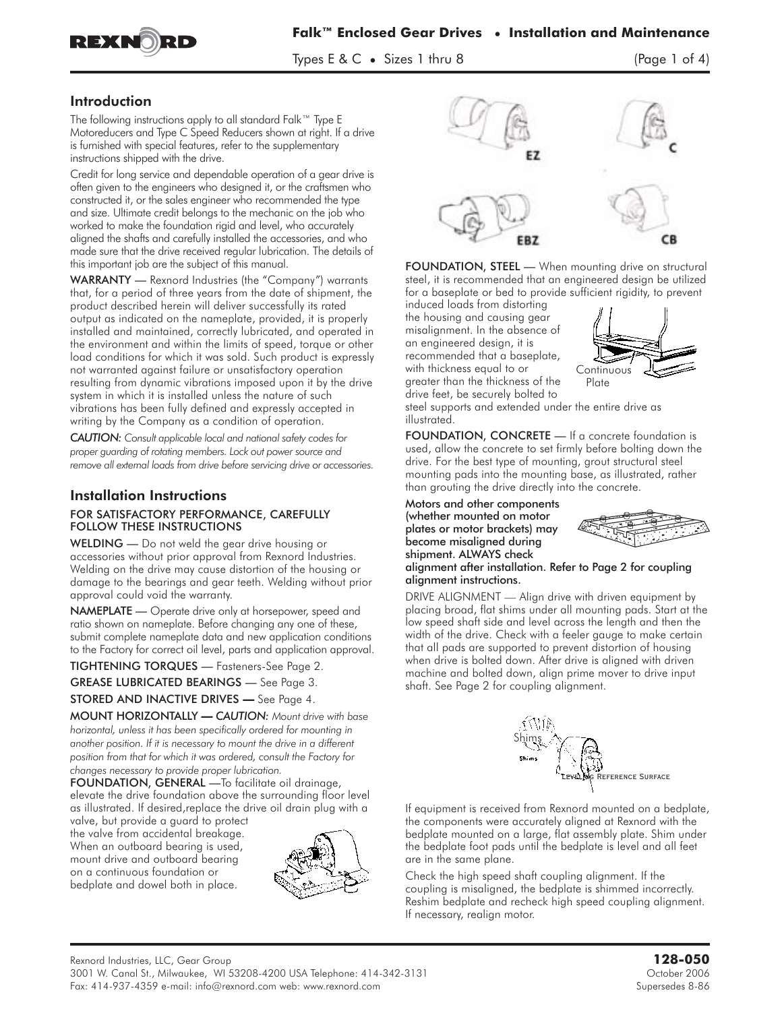



 $\frac{1}{2}$  the size is the size of  $\frac{1}{2}$ 

### Introduction

The following instructions apply to all standard Falk™ Type E Motoreducers and Type C Speed Reducers shown at right. If a drive is furnished with special features, refer to the supplementary instructions shipped with the drive.

Credit for long service and dependable operation of a gear drive is often given to the engineers who designed it, or the craftsmen who constructed it, or the sales engineer who recommended the type and size. Ultimate credit belongs to the mechanic on the job who worked to make the foundation rigid and level, who accurately aligned the shafts and carefully installed the accessories, and who made sure that the drive received regular lubrication. The details of this important job are the subject of this manual.

WARRANTY — Rexnord Industries (the "Company") warrants that, for a period of three years from the date of shipment, the product described herein will deliver successfully its rated output as indicated on the nameplate, provided, it is properly installed and maintained, correctly lubricated, and operated in the environment and within the limits of speed, torque or other load conditions for which it was sold. Such product is expressly not warranted against failure or unsatisfactory operation resulting from dynamic vibrations imposed upon it by the drive system in which it is installed unless the nature of such vibrations has been fully defined and expressly accepted in writing by the Company as a condition of operation.

*CAUTION: Consult applicable local and national safety codes for proper guarding of rotating members. Lock out power source and remove all external loads from drive before servicing drive or accessories.*

### Installation Instructions FOR SATISFACTORY PERFORMANCE, CAREFULLY FOLLOW THESE INSTRUCTIONS

WELDING - Do not weld the gear drive housing or accessories without prior approval from Rexnord Industries. Welding on the drive may cause distortion of the housing or damage to the bearings and gear teeth. Welding without prior approval could void the warranty.

NAMEPLATE - Operate drive only at horsepower, speed and ratio shown on nameplate. Before changing any one of these, submit complete nameplate data and new application conditions to the Factory for correct oil level, parts and application approval.

TIGHTENING TORQUES — Fasteners-See Page 2.

GREASE LUBRICATED BEARINGS — See Page 3.

STORED AND INACTIVE DRIVES **—** See Page 4.

MOUNT HORIZONTALLY *— CAUTION: Mount drive with base horizontal, unless it has been specifically ordered for mounting in another position. If it is necessary to mount the drive in a different position from that for which it was ordered, consult the Factory for changes necessary to provide proper lubrication.*

FOUNDATION, GENERAL —**To** facilitate oil drainage, elevate the drive foundation above the surrounding floor level as illustrated. If desired,replace the drive oil drain plug with a

valve, but provide a guard to protect the valve from accidental breakage. When an outboard bearing is used, mount drive and outboard bearing on a continuous foundation or bedplate and dowel both in place.





FOUNDATION, STEEL - When mounting drive on structural steel, it is recommended that an engineered design be utilized for a baseplate or bed to provide sufficient rigidity, to prevent

induced loads from distorting the housing and causing gear misalignment. In the absence of an engineered design, it is recommended that a baseplate, with thickness equal to or greater than the thickness of the drive feet, be securely bolted to



steel supports and extended under the entire drive as illustrated.

FOUNDATION, CONCRETE - If a concrete foundation is used, allow the concrete to set firmly before bolting down the drive. For the best type of mounting, grout structural steel mounting pads into the mounting base, as illustrated, rather than grouting the drive directly into the concrete.

Motors and other components (whether mounted on motor plates or motor brackets) may become misaligned during shipment. ALWAYS check



#### alignment after installation. Refer to Page 2 for coupling alignment instructions.

DRIVE ALIGNMENT — Align drive with driven equipment by placing broad, flat shims under all mounting pads. Start at the low speed shaft side and level across the length and then the width of the drive. Check with a feeler gauge to make certain that all pads are supported to prevent distortion of housing when drive is bolted down. After drive is aligned with driven machine and bolted down, align prime mover to drive input shaft. See Page 2 for coupling alignment.



If equipment is received from Rexnord mounted on a bedplate, the components were accurately aligned at Rexnord with the bedplate mounted on a large, flat assembly plate. Shim under the bedplate foot pads until the bedplate is level and all feet are in the same plane.

Check the high speed shaft coupling alignment. If the coupling is misaligned, the bedplate is shimmed incorrectly. Reshim bedplate and recheck high speed coupling alignment. If necessary, realign motor.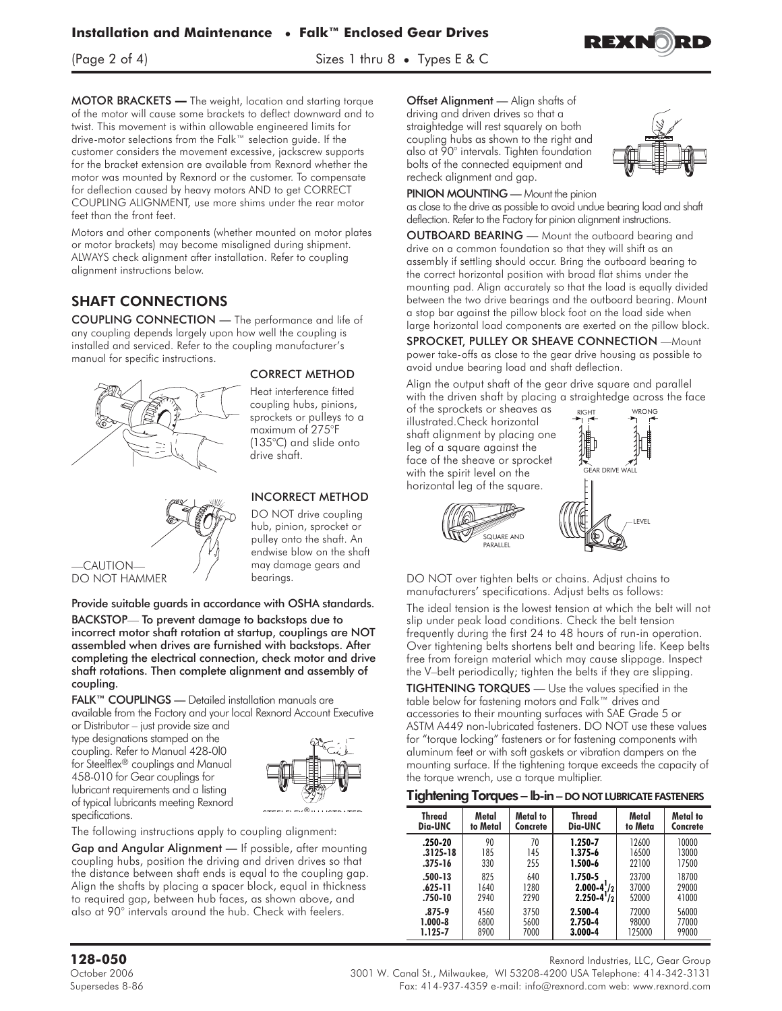$\frac{1}{2}$  of  $\frac{1}{2}$  of  $\frac{1}{2}$  is the  $\frac{1}{2}$  sizes 1 thru 8  $\frac{1}{2}$  of  $\frac{1}{2}$  is the set of  $\frac{1}{2}$ 

MOTOR BRACKETS **— The** weight, location and starting torque of the motor will cause some brackets to deflect downward and to twist. This movement is within allowable engineered limits for drive-motor selections from the Falk™ selection guide. If the customer considers the movement excessive, jackscrew supports for the bracket extension are available from Rexnord whether the motor was mounted by Rexnord or the customer. To compensate for deflection caused by heavy motors AND to get CORRECT COUPLING ALIGNMENT, use more shims under the rear motor feet than the front feet.

Motors and other components (whether mounted on motor plates or motor brackets) may become misaligned during shipment. ALWAYS check alignment after installation. Refer to coupling alignment instructions below.

## SHAFT CONNECTIONS

COUPLING CONNECTION — The performance and life of any coupling depends largely upon how well the coupling is installed and serviced. Refer to the coupling manufacturer's manual for specific instructions.



#### CORRECT METHOD

Heat interference fitted coupling hubs, pinions, sprockets or pulleys to a maximum of 275°F (135°C) and slide onto drive shaft.

INCORRECT METHOD DO NOT drive coupling hub, pinion, sprocket or pulley onto the shaft. An endwise blow on the shaft may damage gears and



# Provide suitable guards in accordance with OSHA standards.

bearings.

BACKSTOP— To prevent damage to backstops due to incorrect motor shaft rotation at startup, couplings are NOT assembled when drives are furnished with backstops. After completing the electrical connection, check motor and drive shaft rotations. Then complete alignment and assembly of coupling.

FALK™ COUPLINGS — Detailed installation manuals are available from the Factory and your local Rexnord Account Executive

or Distributor – just provide size and type designations stamped on the coupling. Refer to Manual 428-0l0 for Steelflex® couplings and Manual 458-010 for Gear couplings for lubricant requirements and a listing of typical lubricants meeting Rexnord specifications.



The following instructions apply to coupling alignment:

Gap and Angular Alignment — If possible, after mounting coupling hubs, position the driving and driven drives so that the distance between shaft ends is equal to the coupling gap. Align the shafts by placing a spacer block, equal in thickness to required gap, between hub faces, as shown above, and also at 90° intervals around the hub. Check with feelers.

Offset Alignment — Align shafts of driving and driven drives so that a straightedge will rest squarely on both coupling hubs as shown to the right and also at 90° intervals. Tighten foundation bolts of the connected equipment and recheck alignment and gap.



PINION MOUNTING — Mount the pinion

as close to the drive as possible to avoid undue bearing load and shaft deflection. Refer to the Factory for pinion alignment instructions.

OUTBOARD BEARING — Mount the outboard bearing and drive on a common foundation so that they will shift as an assembly if settling should occur. Bring the outboard bearing to the correct horizontal position with broad flat shims under the mounting pad. Align accurately so that the load is equally divided between the two drive bearings and the outboard bearing. Mount a stop bar against the pillow block foot on the load side when large horizontal load components are exerted on the pillow block.

SPROCKET, PULLEY OR SHEAVE CONNECTION —Mount power take-offs as close to the gear drive housing as possible to avoid undue bearing load and shaft deflection.

Align the output shaft of the gear drive square and parallel with the driven shaft by placing a straightedge across the face

of the sprockets or sheaves as illustrated.Check horizontal shaft alignment by placing one leg of a square against the face of the sheave or sprocket with the spirit level on the horizontal leg of the square.

SQUARE AN<mark>D</mark><br>PARALLEI



DO NOT over tighten belts or chains. Adjust chains to manufacturers' specifications. Adjust belts as follows:

The ideal tension is the lowest tension at which the belt will not slip under peak load conditions. Check the belt tension frequently during the first 24 to 48 hours of run-in operation. Over tightening belts shortens belt and bearing life. Keep belts free from foreign material which may cause slippage. Inspect the V–belt periodically; tighten the belts if they are slipping.

TIGHTENING TORQUES — Use the values specified in the table below for fastening motors and Falk™ drives and accessories to their mounting surfaces with SAE Grade 5 or ASTM A449 non-lubricated fasteners. DO NOT use these values for "torque locking" fasteners or for fastening components with aluminum feet or with soft gaskets or vibration dampers on the mounting surface. If the tightening torque exceeds the capacity of the torque wrench, use a torque multiplier.

#### Tightening Torques – lb-in – DO NOT LUBRICATE FASTENERS

| <b>Thread</b> | Metal    | Metal to | <b>Thread</b>  | Metal   | Metal to |
|---------------|----------|----------|----------------|---------|----------|
| Dia-UNC       | to Metal | Concrete | Dia-UNC        | to Meta | Concrete |
| .250-20       | 90       | 70       | 1.250-7        | 12600   | 10000    |
| $.3125 - 18$  | 185      | 145      | $1.375 - 6$    | 16500   | 13000    |
| $.375 - 16$   | 330      | 255      | 1.500-6        | 22100   | 17500    |
| .500-13       | 825      | 640      | 1.750-5        | 23700   | 18700    |
| .625-11       | 1640     | 1280     | $2.000 - 4!/2$ | 37000   | 29000    |
| .750-10       | 2940     | 2290     | $2.250 - 4!/2$ | 52000   | 41000    |
| .875-9        | 4560     | 3750     | 2.500-4        | 72000   | 56000    |
| $1.000 - 8$   | 6800     | 5600     | 2.750-4        | 98000   | 77000    |
| 1.125-7       | 8900     | 7000     | 3.000-4        | 125000  | 99000    |

**128-050** Rexnord Industries, LLC, Gear Group

October 2006 3001 W. Canal St., Milwaukee, WI 53208-4200 USA Telephone: 414-342-3131 Supersedes 8-86 Fax: 414-937-4359 e-mail: info@rexnord.com web: www.rexnord.com

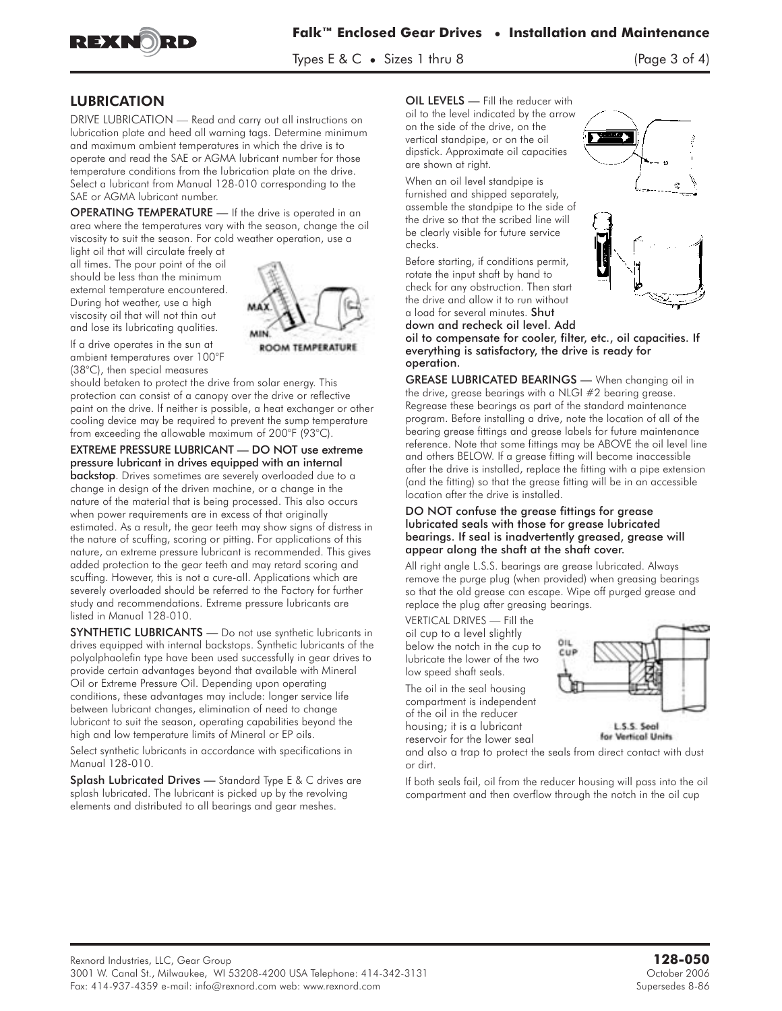

 $T_{\rm P}$  is the size of  $\alpha$ 

## LUBRICATION

DRIVE LUBRICATION — Read and carry out all instructions on lubrication plate and heed all warning tags. Determine minimum and maximum ambient temperatures in which the drive is to operate and read the SAE or AGMA lubricant number for those temperature conditions from the lubrication plate on the drive. Select a lubricant from Manual 128-010 corresponding to the SAE or AGMA lubricant number.

OPERATING TEMPERATURE — If the drive is operated in an area where the temperatures vary with the season, change the oil viscosity to suit the season. For cold weather operation, use a

light oil that will circulate freely at all times. The pour point of the oil should be less than the minimum external temperature encountered. During hot weather, use a high viscosity oil that will not thin out and lose its lubricating qualities.



If a drive operates in the sun at ambient temperatures over 100°F (38°C), then special measures

should betaken to protect the drive from solar energy. This protection can consist of a canopy over the drive or reflective paint on the drive. If neither is possible, a heat exchanger or other cooling device may be required to prevent the sump temperature from exceeding the allowable maximum of 200°F (93°C).

EXTREME PRESSURE LUBRICANT — DO NOT use extreme pressure lubricant in drives equipped with an internal

**backstop**. Drives sometimes are severely overloaded due to a change in design of the driven machine, or a change in the nature of the material that is being processed. This also occurs when power requirements are in excess of that originally estimated. As a result, the gear teeth may show signs of distress in the nature of scuffing, scoring or pitting. For applications of this nature, an extreme pressure lubricant is recommended. This gives added protection to the gear teeth and may retard scoring and scuffing. However, this is not a cure-all. Applications which are severely overloaded should be referred to the Factory for further study and recommendations. Extreme pressure lubricants are listed in Manual 128-010.

SYNTHETIC LUBRICANTS — **Do** not use synthetic lubricants in drives equipped with internal backstops. Synthetic lubricants of the polyalphaolefin type have been used successfully in gear drives to provide certain advantages beyond that available with Mineral Oil or Extreme Pressure Oil. Depending upon operating conditions, these advantages may include: longer service life between lubricant changes, elimination of need to change lubricant to suit the season, operating capabilities beyond the high and low temperature limits of Mineral or EP oils.

Select synthetic lubricants in accordance with specifications in Manual 128-010.

Splash Lubricated Drives — **Standard** Type E & C drives are splash lubricated. The lubricant is picked up by the revolving elements and distributed to all bearings and gear meshes.

OIL LEVELS — **Fill** the reducer with oil to the level indicated by the arrow on the side of the drive, on the vertical standpipe, or on the oil dipstick. Approximate oil capacities are shown at right.

When an oil level standpipe is furnished and shipped separately, assemble the standpipe to the side of the drive so that the scribed line will be clearly visible for future service checks.

Before starting, if conditions permit, rotate the input shaft by hand to check for any obstruction. Then start the drive and allow it to run without a load for several minutes. Shut



down and recheck oil level. Add oil to compensate for cooler, filter, etc., oil capacities. If everything is satisfactory, the drive is ready for operation.

GREASE LUBRICATED BEARINGS — **When** changing oil in the drive, grease bearings with a NLGI #2 bearing grease. Regrease these bearings as part of the standard maintenance program. Before installing a drive, note the location of all of the bearing grease fittings and grease labels for future maintenance reference. Note that some fittings may be ABOVE the oil level line and others BELOW. If a grease fitting will become inaccessible after the drive is installed, replace the fitting with a pipe extension (and the fitting) so that the grease fitting will be in an accessible location after the drive is installed.

#### DO NOT confuse the grease fittings for grease lubricated seals with those for grease lubricated bearings. If seal is inadvertently greased, grease will appear along the shaft at the shaft cover.

All right angle L.S.S. bearings are grease lubricated. Always remove the purge plug (when provided) when greasing bearings so that the old grease can escape. Wipe off purged grease and replace the plug after greasing bearings.

**VERTICAL DRIVES — Fill** the oil cup to a level slightly below the notch in the cup to lubricate the lower of the two low speed shaft seals.

The oil in the seal housing compartment is independent of the oil in the reducer housing; it is a lubricant reservoir for the lower seal



for Vertical Units

and also a trap to protect the seals from direct contact with dust or dirt.

If both seals fail, oil from the reducer housing will pass into the oil compartment and then overflow through the notch in the oil cup